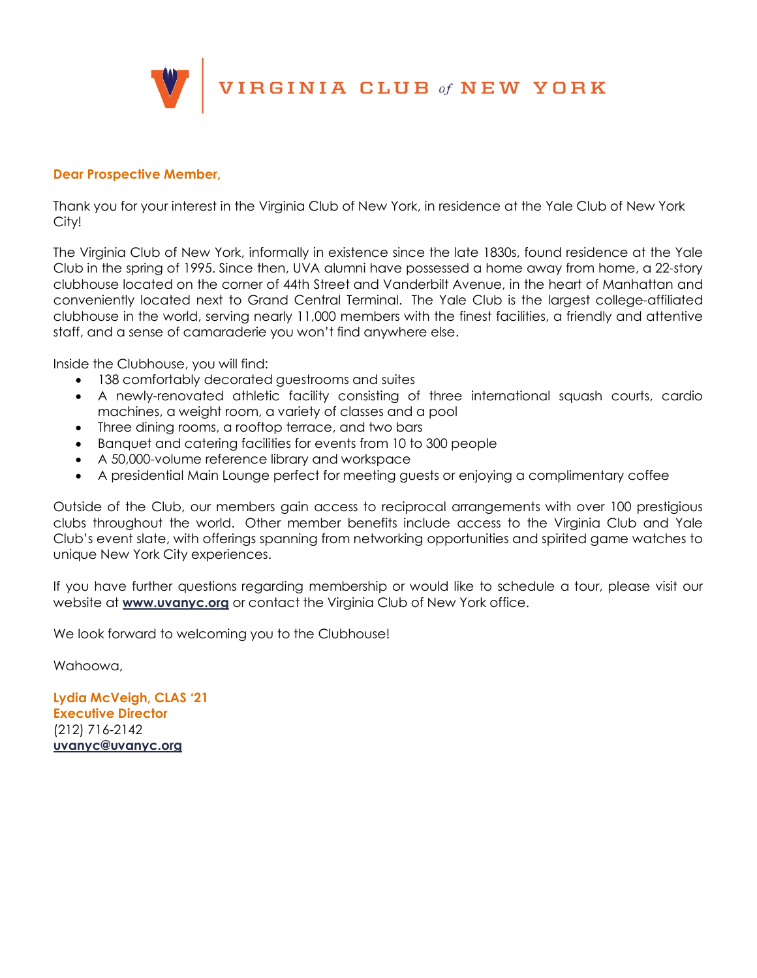

#### **Dear Prospective Member,**

Thank you for your interest in the Virginia Club of New York, in residence at the Yale Club of New York City!

The Virginia Club of New York, informally in existence since the late 1830s, found residence at the Yale Club in the spring of 1995. Since then, UVA alumni have possessed a home away from home, a 22-story clubhouse located on the corner of 44th Street and Vanderbilt Avenue, in the heart of Manhattan and conveniently located next to Grand Central Terminal. The Yale Club is the largest college-affiliated clubhouse in the world, serving nearly 11,000 members with the finest facilities, a friendly and attentive staff, and a sense of camaraderie you won't find anywhere else.

Inside the Clubhouse, you will find:

- 138 comfortably decorated guestrooms and suites
- A newly-renovated athletic facility consisting of three international squash courts, cardio machines, a weight room, a variety of classes and a pool
- Three dining rooms, a rooftop terrace, and two bars
- Banquet and catering facilities for events from 10 to 300 people
- A 50,000-volume reference library and workspace
- A presidential Main Lounge perfect for meeting guests or enjoying a complimentary coffee

Outside of the Club, our members gain access to reciprocal arrangements with over 100 prestigious clubs throughout the world. Other member benefits include access to the Virginia Club and Yale Club's event slate, with offerings spanning from networking opportunities and spirited game watches to unique New York City experiences.

If you have further questions regarding membership or would like to schedule a tour, please visit our website at **www.uvanyc.org** or contact the Virginia Club of New York office.

We look forward to welcoming you to the Clubhouse!

Wahoowa,

**Lydia McVeigh, CLAS '21 Executive Director** (212) 716-2142 **uvanyc@uvanyc.org**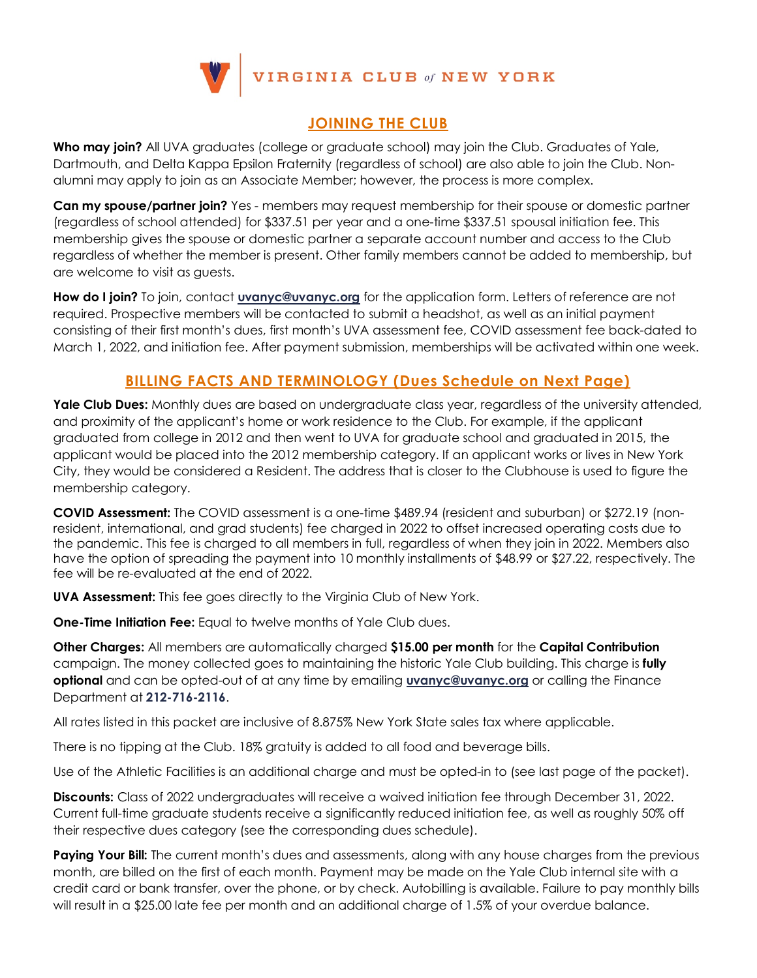

## **JOINING THE CLUB**

**Who may join?** All UVA graduates (college or graduate school) may join the Club. Graduates of Yale, Dartmouth, and Delta Kappa Epsilon Fraternity (regardless of school) are also able to join the Club. Nonalumni may apply to join as an Associate Member; however, the process is more complex.

**Can my spouse/partner join?** Yes - members may request membership for their spouse or domestic partner (regardless of school attended) for \$337.51 per year and a one-time \$337.51 spousal initiation fee. This membership gives the spouse or domestic partner a separate account number and access to the Club regardless of whether the member is present. Other family members cannot be added to membership, but are welcome to visit as guests.

**How do I join?** To join, contact **uvanyc@uvanyc.org** for the application form. Letters of reference are not required. Prospective members will be contacted to submit a headshot, as well as an initial payment consisting of their first month's dues, first month's UVA assessment fee, COVID assessment fee back-dated to March 1, 2022, and initiation fee. After payment submission, memberships will be activated within one week.

## **BILLING FACTS AND TERMINOLOGY (Dues Schedule on Next Page)**

Yale Club Dues: Monthly dues are based on undergraduate class year, regardless of the university attended, and proximity of the applicant's home or work residence to the Club. For example, if the applicant graduated from college in 2012 and then went to UVA for graduate school and graduated in 2015, the applicant would be placed into the 2012 membership category. If an applicant works or lives in New York City, they would be considered a Resident. The address that is closer to the Clubhouse is used to figure the membership category.

**COVID Assessment:** The COVID assessment is a one-time \$489.94 (resident and suburban) or \$272.19 (nonresident, international, and grad students) fee charged in 2022 to offset increased operating costs due to the pandemic. This fee is charged to all members in full, regardless of when they join in 2022. Members also have the option of spreading the payment into 10 monthly installments of \$48.99 or \$27.22, respectively. The fee will be re-evaluated at the end of 2022.

**UVA Assessment:** This fee goes directly to the Virginia Club of New York.

**One-Time Initiation Fee:** Equal to twelve months of Yale Club dues.

**Other Charges:** All members are automatically charged **\$15.00 per month** for the **Capital Contribution** campaign. The money collected goes to maintaining the historic Yale Club building. This charge is **fully optional** and can be opted-out of at any time by emailing **uvanyc@uvanyc.org** or calling the Finance Department at **212-716-2116**.

All rates listed in this packet are inclusive of 8.875% New York State sales tax where applicable.

There is no tipping at the Club. 18% gratuity is added to all food and beverage bills.

Use of the Athletic Facilities is an additional charge and must be opted-in to (see last page of the packet).

**Discounts:** Class of 2022 undergraduates will receive a waived initiation fee through December 31, 2022. Current full-time graduate students receive a significantly reduced initiation fee, as well as roughly 50% off their respective dues category (see the corresponding dues schedule).

Paying Your Bill: The current month's dues and assessments, along with any house charges from the previous month, are billed on the first of each month. Payment may be made on the Yale Club internal site with a credit card or bank transfer, over the phone, or by check. Autobilling is available. Failure to pay monthly bills will result in a \$25.00 late fee per month and an additional charge of 1.5% of your overdue balance.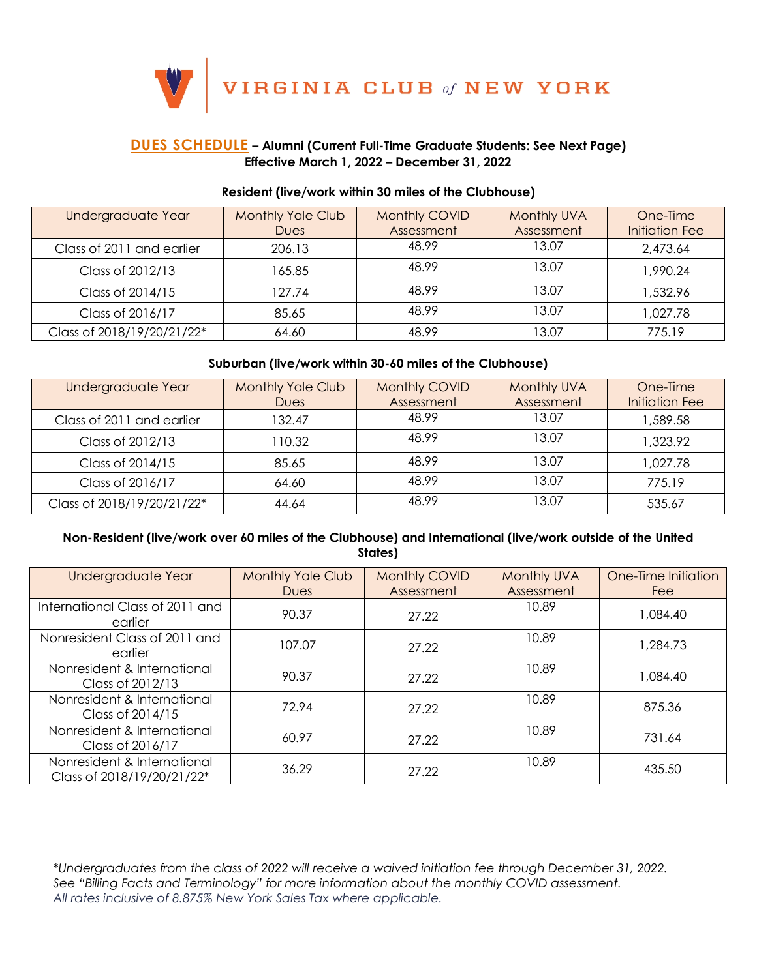$\bigg|\begin{array}{l}\n\textbf{VIRGINIA CLUB}\textit{ of NEW YORK}\n\end{array}\n\bigg|$ 

### **DUES SCHEDULE – Alumni (Current Full-Time Graduate Students: See Next Page) Effective March 1, 2022 – December 31, 2022**

V

#### **Resident (live/work within 30 miles of the Clubhouse)**

| Undergraduate Year         | <b>Monthly Yale Club</b> | Monthly COVID | <b>Monthly UVA</b> | One-Time              |
|----------------------------|--------------------------|---------------|--------------------|-----------------------|
|                            | <b>Dues</b>              | Assessment    | Assessment         | <b>Initiation Fee</b> |
| Class of 2011 and earlier  | 206.13                   | 48.99         | 13.07              | 2,473.64              |
| Class of 2012/13           | 165.85                   | 48.99         | 13.07              | 1,990.24              |
| Class of 2014/15           | 127.74                   | 48.99         | 13.07              | 1,532.96              |
| Class of 2016/17           | 85.65                    | 48.99         | 13.07              | 1,027.78              |
| Class of 2018/19/20/21/22* | 64.60                    | 48.99         | 13.07              | 775.19                |

#### **Suburban (live/work within 30-60 miles of the Clubhouse)**

| Undergraduate Year         | <b>Monthly Yale Club</b><br><b>Dues</b> | Monthly COVID<br>Assessment | <b>Monthly UVA</b><br>Assessment | One-Time<br><b>Initiation Fee</b> |
|----------------------------|-----------------------------------------|-----------------------------|----------------------------------|-----------------------------------|
| Class of 2011 and earlier  | 132.47                                  | 48.99                       | 13.07                            | 1,589.58                          |
| Class of 2012/13           | 110.32                                  | 48.99                       | 13.07                            | 1,323.92                          |
| Class of 2014/15           | 85.65                                   | 48.99                       | 13.07                            | 1,027.78                          |
| Class of 2016/17           | 64.60                                   | 48.99                       | 13.07                            | 775.19                            |
| Class of 2018/19/20/21/22* | 44.64                                   | 48.99                       | 13.07                            | 535.67                            |

#### **Non-Resident (live/work over 60 miles of the Clubhouse) and International (live/work outside of the United States)**

| Undergraduate Year                                        | <b>Monthly Yale Club</b><br><b>Dues</b> | Monthly COVID<br>Assessment | <b>Monthly UVA</b><br>Assessment | One-Time Initiation<br><b>Fee</b> |
|-----------------------------------------------------------|-----------------------------------------|-----------------------------|----------------------------------|-----------------------------------|
| International Class of 2011 and<br>earlier                | 90.37                                   | 27.22                       | 10.89                            | 1,084.40                          |
| Nonresident Class of 2011 and<br>earlier                  | 107.07                                  | 27.22                       | 10.89                            | 1,284.73                          |
| Nonresident & International<br>Class of 2012/13           | 90.37                                   | 27.22                       | 10.89                            | 1,084.40                          |
| Nonresident & International<br>Class of 2014/15           | 72.94                                   | 27.22                       | 10.89                            | 875.36                            |
| Nonresident & International<br>Class of 2016/17           | 60.97                                   | 27.22                       | 10.89                            | 731.64                            |
| Nonresident & International<br>Class of 2018/19/20/21/22* | 36.29                                   | 27.22                       | 10.89                            | 435.50                            |

*\*Undergraduates from the class of 2022 will receive a waived initiation fee through December 31, 2022. See "Billing Facts and Terminology" for more information about the monthly COVID assessment. All rates inclusive of 8.875% New York Sales Tax where applicable.*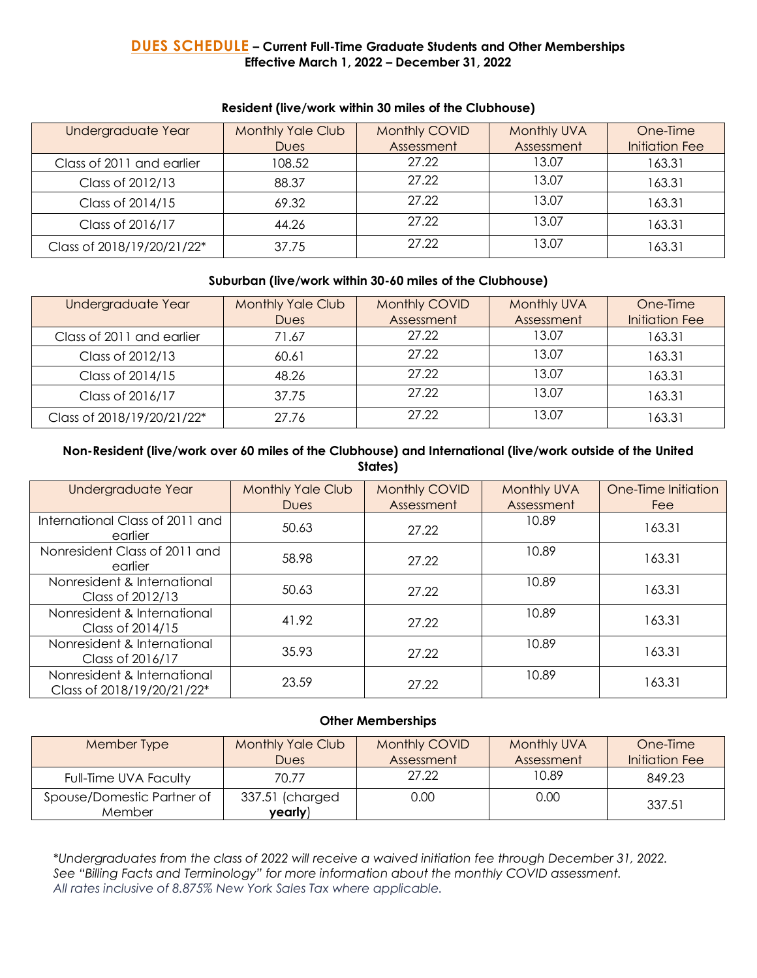### **DUES SCHEDULE – Current Full-Time Graduate Students and Other Memberships Effective March 1, 2022 – December 31, 2022**

| Undergraduate Year         | <b>Monthly Yale Club</b><br><b>Dues</b> | Monthly COVID<br>Assessment | Monthly UVA<br>Assessment | One-Time<br><b>Initiation Fee</b> |
|----------------------------|-----------------------------------------|-----------------------------|---------------------------|-----------------------------------|
| Class of 2011 and earlier  | 108.52                                  | 27.22                       | 13.07                     | 163.31                            |
| Class of 2012/13           | 88.37                                   | 27.22                       | 13.07                     | 163.31                            |
| Class of 2014/15           | 69.32                                   | 27.22                       | 13.07                     | 163.31                            |
| Class of 2016/17           | 44.26                                   | 27.22                       | 13.07                     | 163.31                            |
| Class of 2018/19/20/21/22* | 37.75                                   | 27.22                       | 13.07                     | 163.31                            |

#### **Resident (live/work within 30 miles of the Clubhouse)**

#### **Suburban (live/work within 30-60 miles of the Clubhouse)**

| Undergraduate Year         | <b>Monthly Yale Club</b> | Monthly COVID | Monthly UVA | One-Time              |
|----------------------------|--------------------------|---------------|-------------|-----------------------|
|                            | <b>Dues</b>              | Assessment    | Assessment  | <b>Initiation Fee</b> |
| Class of 2011 and earlier  | 71.67                    | 27.22         | 13.07       | 163.31                |
| Class of 2012/13           | 60.61                    | 27.22         | 13.07       | 163.31                |
| Class of 2014/15           | 48.26                    | 27.22         | 13.07       | 163.31                |
| Class of 2016/17           | 37.75                    | 27.22         | 13.07       | 163.31                |
| Class of 2018/19/20/21/22* | 27.76                    | 27.22         | 13.07       | 163.31                |

### **Non-Resident (live/work over 60 miles of the Clubhouse) and International (live/work outside of the United States)**

| Undergraduate Year                                        | <b>Monthly Yale Club</b><br><b>Dues</b> | Monthly COVID<br>Assessment | <b>Monthly UVA</b><br>Assessment | One-Time Initiation<br>Fee |
|-----------------------------------------------------------|-----------------------------------------|-----------------------------|----------------------------------|----------------------------|
| International Class of 2011 and<br>earlier                | 50.63                                   | 27.22                       | 10.89                            | 163.31                     |
| Nonresident Class of 2011 and<br>earlier                  | 58.98                                   | 27.22                       | 10.89                            | 163.31                     |
| Nonresident & International<br>Class of 2012/13           | 50.63                                   | 27.22                       | 10.89                            | 163.31                     |
| Nonresident & International<br>Class of 2014/15           | 41.92                                   | 27.22                       | 10.89                            | 163.31                     |
| Nonresident & International<br>Class of 2016/17           | 35.93                                   | 27.22                       | 10.89                            | 163.31                     |
| Nonresident & International<br>Class of 2018/19/20/21/22* | 23.59                                   | 27.22                       | 10.89                            | 163.31                     |

#### **Other Memberships**

| Member Type                          | <b>Monthly Yale Club</b><br><b>Dues</b> | Monthly COVID<br>Assessment | Monthly UVA<br>Assessment | One-Time<br>Initiation Fee |
|--------------------------------------|-----------------------------------------|-----------------------------|---------------------------|----------------------------|
| Full-Time UVA Faculty                | 70.77                                   | 27.22                       | 10.89                     | 849.23                     |
| Spouse/Domestic Partner of<br>Member | 337.51 (charged<br>yearly)              | 0.00                        | 0.00                      | 337.51                     |

*\*Undergraduates from the class of 2022 will receive a waived initiation fee through December 31, 2022. See "Billing Facts and Terminology" for more information about the monthly COVID assessment. All rates inclusive of 8.875% New York Sales Tax where applicable.*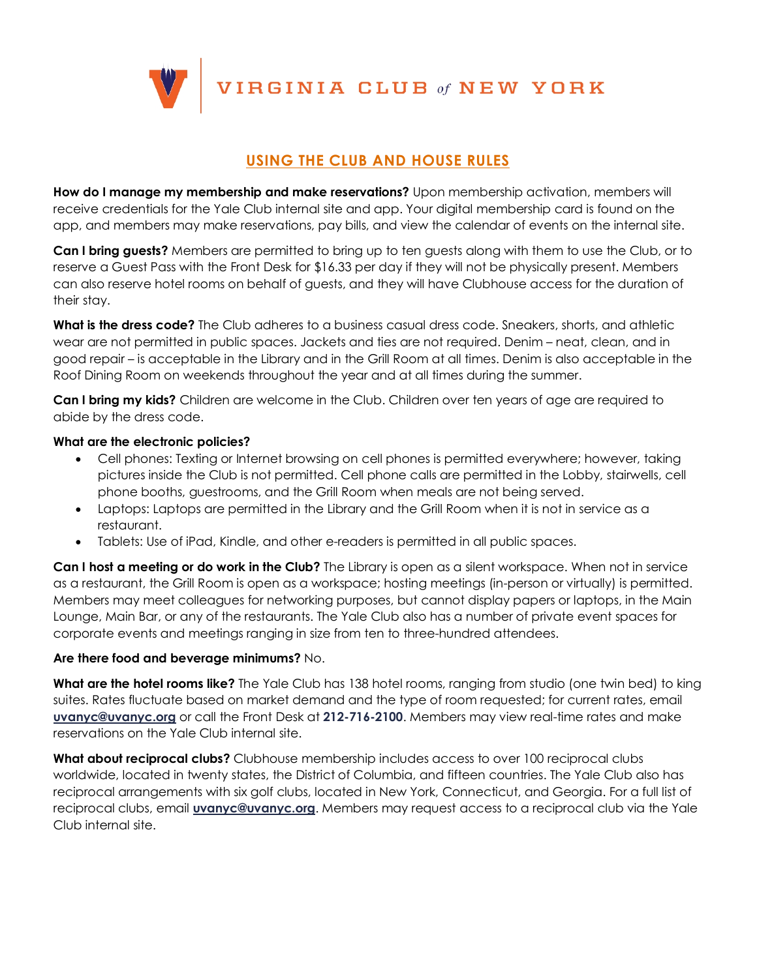VIRGINIA CLUB of NEW YORK

## **USING THE CLUB AND HOUSE RULES**

**How do I manage my membership and make reservations?** Upon membership activation, members will receive credentials for the Yale Club internal site and app. Your digital membership card is found on the app, and members may make reservations, pay bills, and view the calendar of events on the internal site.

**Can I bring guests?** Members are permitted to bring up to ten guests along with them to use the Club, or to reserve a Guest Pass with the Front Desk for \$16.33 per day if they will not be physically present. Members can also reserve hotel rooms on behalf of guests, and they will have Clubhouse access for the duration of their stay.

**What is the dress code?** The Club adheres to a business casual dress code. Sneakers, shorts, and athletic wear are not permitted in public spaces. Jackets and ties are not required. Denim – neat, clean, and in good repair – is acceptable in the Library and in the Grill Room at all times. Denim is also acceptable in the Roof Dining Room on weekends throughout the year and at all times during the summer.

**Can I bring my kids?** Children are welcome in the Club. Children over ten years of age are required to abide by the dress code.

#### **What are the electronic policies?**

- Cell phones: Texting or Internet browsing on cell phones is permitted everywhere; however, taking pictures inside the Club is not permitted. Cell phone calls are permitted in the Lobby, stairwells, cell phone booths, guestrooms, and the Grill Room when meals are not being served.
- Laptops: Laptops are permitted in the Library and the Grill Room when it is not in service as a restaurant.
- Tablets: Use of iPad, Kindle, and other e-readers is permitted in all public spaces.

**Can I host a meeting or do work in the Club?** The Library is open as a silent workspace. When not in service as a restaurant, the Grill Room is open as a workspace; hosting meetings (in-person or virtually) is permitted. Members may meet colleagues for networking purposes, but cannot display papers or laptops, in the Main Lounge, Main Bar, or any of the restaurants. The Yale Club also has a number of private event spaces for corporate events and meetings ranging in size from ten to three-hundred attendees.

#### **Are there food and beverage minimums?** No.

**What are the hotel rooms like?** The Yale Club has 138 hotel rooms, ranging from studio (one twin bed) to king suites. Rates fluctuate based on market demand and the type of room requested; for current rates, email **uvanyc@uvanyc.org** or call the Front Desk at **212-716-2100**. Members may view real-time rates and make reservations on the Yale Club internal site.

**What about reciprocal clubs?** Clubhouse membership includes access to over 100 reciprocal clubs worldwide, located in twenty states, the District of Columbia, and fifteen countries. The Yale Club also has reciprocal arrangements with six golf clubs, located in New York, Connecticut, and Georgia. For a full list of reciprocal clubs, email **uvanyc@uvanyc.org**. Members may request access to a reciprocal club via the Yale Club internal site.